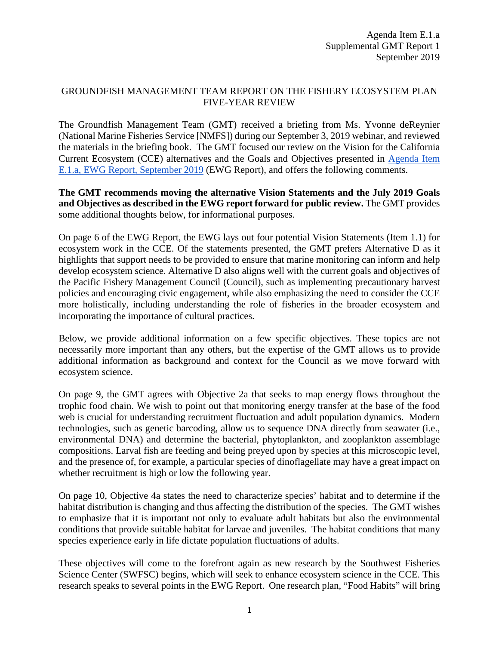## GROUNDFISH MANAGEMENT TEAM REPORT ON THE FISHERY ECOSYSTEM PLAN FIVE-YEAR REVIEW

The Groundfish Management Team (GMT) received a briefing from Ms. Yvonne deReynier (National Marine Fisheries Service [NMFS]) during our September 3, 2019 webinar, and reviewed the materials in the briefing book. The GMT focused our review on the Vision for the California Current Ecosystem (CCE) alternatives and the Goals and Objectives presented in [Agenda Item](https://www.pcouncil.org/wp-content/uploads/2019/08/E1a_EWG_Rpt1_FEP_Update_SEP2019BB.pdf)  [E.1.a, EWG Report, September](https://www.pcouncil.org/wp-content/uploads/2019/08/E1a_EWG_Rpt1_FEP_Update_SEP2019BB.pdf) 2019 (EWG Report), and offers the following comments.

## **The GMT recommends moving the alternative Vision Statements and the July 2019 Goals and Objectives as described in the EWG report forward for public review.** The GMT provides some additional thoughts below, for informational purposes.

On page 6 of the EWG Report, the EWG lays out four potential Vision Statements (Item 1.1) for ecosystem work in the CCE. Of the statements presented, the GMT prefers Alternative D as it highlights that support needs to be provided to ensure that marine monitoring can inform and help develop ecosystem science. Alternative D also aligns well with the current goals and objectives of the Pacific Fishery Management Council (Council), such as implementing precautionary harvest policies and encouraging civic engagement, while also emphasizing the need to consider the CCE more holistically, including understanding the role of fisheries in the broader ecosystem and incorporating the importance of cultural practices.

Below, we provide additional information on a few specific objectives. These topics are not necessarily more important than any others, but the expertise of the GMT allows us to provide additional information as background and context for the Council as we move forward with ecosystem science.

On page 9, the GMT agrees with Objective 2a that seeks to map energy flows throughout the trophic food chain. We wish to point out that monitoring energy transfer at the base of the food web is crucial for understanding recruitment fluctuation and adult population dynamics. Modern technologies, such as genetic barcoding, allow us to sequence DNA directly from seawater (i.e., environmental DNA) and determine the bacterial, phytoplankton, and zooplankton assemblage compositions. Larval fish are feeding and being preyed upon by species at this microscopic level, and the presence of, for example, a particular species of dinoflagellate may have a great impact on whether recruitment is high or low the following year.

On page 10, Objective 4a states the need to characterize species' habitat and to determine if the habitat distribution is changing and thus affecting the distribution of the species. The GMT wishes to emphasize that it is important not only to evaluate adult habitats but also the environmental conditions that provide suitable habitat for larvae and juveniles. The habitat conditions that many species experience early in life dictate population fluctuations of adults.

These objectives will come to the forefront again as new research by the Southwest Fisheries Science Center (SWFSC) begins, which will seek to enhance ecosystem science in the CCE. This research speaks to several points in the EWG Report. One research plan, "Food Habits" will bring